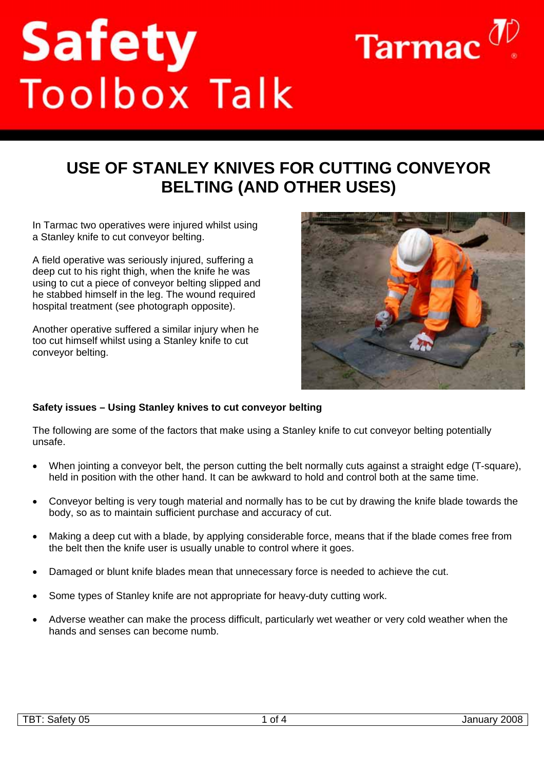# Safety<br>Toolbox Talk



In Tarmac two operatives were injured whilst using a Stanley knife to cut conveyor belting.

A field operative was seriously injured, suffering a deep cut to his right thigh, when the knife he was using to cut a piece of conveyor belting slipped and he stabbed himself in the leg. The wound required hospital treatment (see photograph opposite).

Another operative suffered a similar injury when he too cut himself whilst using a Stanley knife to cut conveyor belting.



Tarmac  $\sigma$ 

### **Safety issues – Using Stanley knives to cut conveyor belting**

The following are some of the factors that make using a Stanley knife to cut conveyor belting potentially unsafe.

- When jointing a conveyor belt, the person cutting the belt normally cuts against a straight edge (T-square), held in position with the other hand. It can be awkward to hold and control both at the same time.
- Conveyor belting is very tough material and normally has to be cut by drawing the knife blade towards the body, so as to maintain sufficient purchase and accuracy of cut.
- Making a deep cut with a blade, by applying considerable force, means that if the blade comes free from the belt then the knife user is usually unable to control where it goes.
- Damaged or blunt knife blades mean that unnecessary force is needed to achieve the cut.
- Some types of Stanley knife are not appropriate for heavy-duty cutting work.
- Adverse weather can make the process difficult, particularly wet weather or very cold weather when the hands and senses can become numb.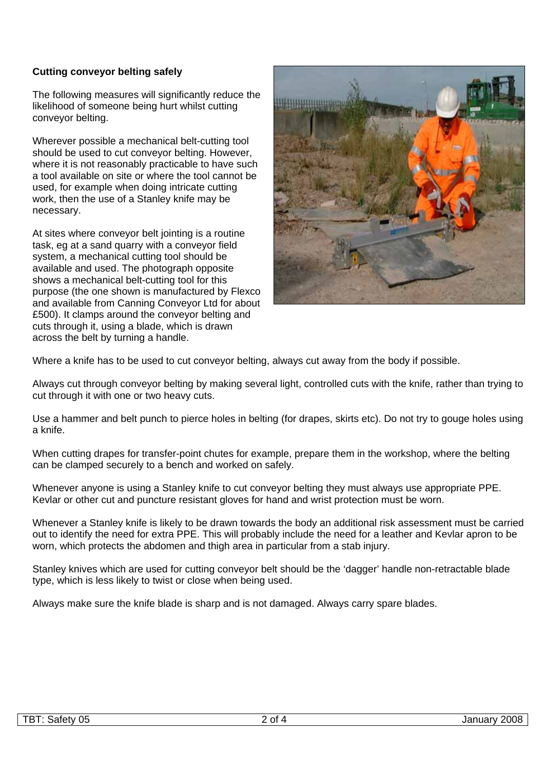# **Cutting conveyor belting safely**

The following measures will significantly reduce the likelihood of someone being hurt whilst cutting conveyor belting.

Wherever possible a mechanical belt-cutting tool should be used to cut conveyor belting. However, where it is not reasonably practicable to have such a tool available on site or where the tool cannot be used, for example when doing intricate cutting work, then the use of a Stanley knife may be necessary.

At sites where conveyor belt jointing is a routine task, eg at a sand quarry with a conveyor field system, a mechanical cutting tool should be available and used. The photograph opposite shows a mechanical belt-cutting tool for this purpose (the one shown is manufactured by Flexco and available from Canning Conveyor Ltd for about £500). It clamps around the conveyor belting and cuts through it, using a blade, which is drawn across the belt by turning a handle.



Where a knife has to be used to cut conveyor belting, always cut away from the body if possible.

Always cut through conveyor belting by making several light, controlled cuts with the knife, rather than trying to cut through it with one or two heavy cuts.

Use a hammer and belt punch to pierce holes in belting (for drapes, skirts etc). Do not try to gouge holes using a knife.

When cutting drapes for transfer-point chutes for example, prepare them in the workshop, where the belting can be clamped securely to a bench and worked on safely.

Whenever anyone is using a Stanley knife to cut conveyor belting they must always use appropriate PPE. Kevlar or other cut and puncture resistant gloves for hand and wrist protection must be worn.

Whenever a Stanley knife is likely to be drawn towards the body an additional risk assessment must be carried out to identify the need for extra PPE. This will probably include the need for a leather and Kevlar apron to be worn, which protects the abdomen and thigh area in particular from a stab injury.

Stanley knives which are used for cutting conveyor belt should be the 'dagger' handle non-retractable blade type, which is less likely to twist or close when being used.

Always make sure the knife blade is sharp and is not damaged. Always carry spare blades.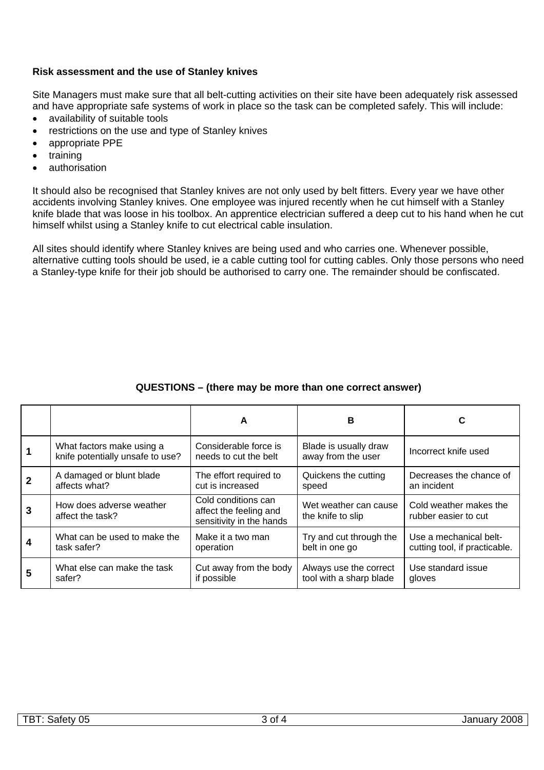## **Risk assessment and the use of Stanley knives**

Site Managers must make sure that all belt-cutting activities on their site have been adequately risk assessed and have appropriate safe systems of work in place so the task can be completed safely. This will include:

- availability of suitable tools
- restrictions on the use and type of Stanley knives
- appropriate PPE
- training
- authorisation

It should also be recognised that Stanley knives are not only used by belt fitters. Every year we have other accidents involving Stanley knives. One employee was injured recently when he cut himself with a Stanley knife blade that was loose in his toolbox. An apprentice electrician suffered a deep cut to his hand when he cut himself whilst using a Stanley knife to cut electrical cable insulation.

All sites should identify where Stanley knives are being used and who carries one. Whenever possible, alternative cutting tools should be used, ie a cable cutting tool for cutting cables. Only those persons who need a Stanley-type knife for their job should be authorised to carry one. The remainder should be confiscated.

|   |                                                               | A                                                                         | в                                           | C                                              |
|---|---------------------------------------------------------------|---------------------------------------------------------------------------|---------------------------------------------|------------------------------------------------|
|   | What factors make using a<br>knife potentially unsafe to use? | Considerable force is<br>needs to cut the belt                            | Blade is usually draw<br>away from the user | Incorrect knife used                           |
|   | A damaged or blunt blade                                      | The effort required to                                                    | Quickens the cutting                        | Decreases the chance of                        |
|   | affects what?                                                 | cut is increased                                                          | speed                                       | an incident                                    |
|   | How does adverse weather<br>affect the task?                  | Cold conditions can<br>affect the feeling and<br>sensitivity in the hands | Wet weather can cause<br>the knife to slip  | Cold weather makes the<br>rubber easier to cut |
|   | What can be used to make the                                  | Make it a two man                                                         | Try and cut through the                     | Use a mechanical belt-                         |
|   | task safer?                                                   | operation                                                                 | belt in one go                              | cutting tool, if practicable.                  |
| 5 | What else can make the task                                   | Cut away from the body                                                    | Always use the correct                      | Use standard issue                             |
|   | safer?                                                        | if possible                                                               | tool with a sharp blade                     | gloves                                         |

# **QUESTIONS – (there may be more than one correct answer)**